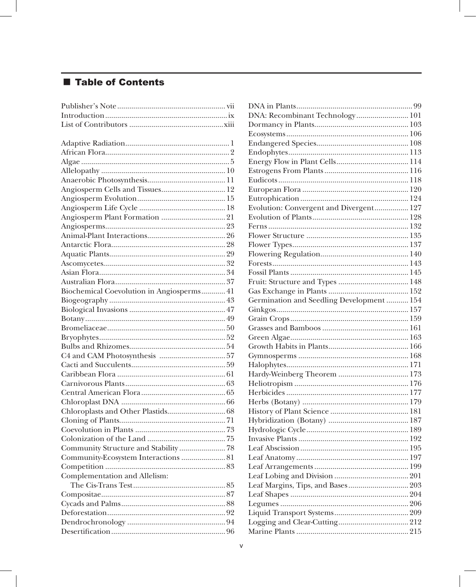## ■ Table of Contents

| Biochemical Coevolution in Angiosperms 41 |
|-------------------------------------------|
|                                           |
|                                           |
|                                           |
|                                           |
|                                           |
|                                           |
|                                           |
|                                           |
|                                           |
|                                           |
|                                           |
|                                           |
|                                           |
|                                           |
|                                           |
|                                           |
|                                           |
| Community Structure and Stability  78     |
| Community-Ecosystem Interactions  81      |
|                                           |
| Complementation and Allelism:             |
|                                           |
|                                           |
|                                           |
|                                           |
|                                           |
|                                           |

| DNA: Recombinant Technology 101           |  |
|-------------------------------------------|--|
|                                           |  |
|                                           |  |
|                                           |  |
|                                           |  |
|                                           |  |
|                                           |  |
|                                           |  |
|                                           |  |
|                                           |  |
| Evolution: Convergent and Divergent 127   |  |
|                                           |  |
|                                           |  |
|                                           |  |
|                                           |  |
|                                           |  |
|                                           |  |
|                                           |  |
|                                           |  |
|                                           |  |
| Germination and Seedling Development  154 |  |
|                                           |  |
|                                           |  |
|                                           |  |
|                                           |  |
|                                           |  |
|                                           |  |
|                                           |  |
|                                           |  |
|                                           |  |
|                                           |  |
|                                           |  |
|                                           |  |
|                                           |  |
|                                           |  |
|                                           |  |
|                                           |  |
|                                           |  |
|                                           |  |
|                                           |  |
| Leaf Margins, Tips, and Bases 203         |  |
|                                           |  |
|                                           |  |
|                                           |  |
|                                           |  |
|                                           |  |
|                                           |  |